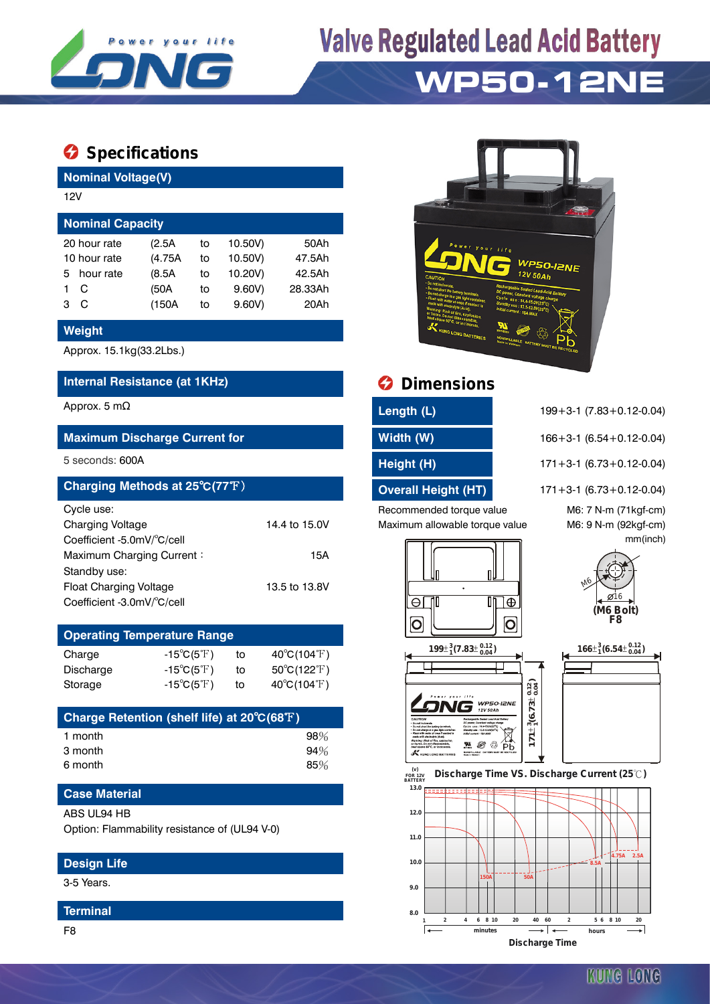

# **Valve Regulated Lead Acid Battery**

### **WP50-12NE**

### **Specifications**

**Nominal Voltage(V)**

|                         | 12V          |         |    |         |         |  |  |  |  |  |
|-------------------------|--------------|---------|----|---------|---------|--|--|--|--|--|
| <b>Nominal Capacity</b> |              |         |    |         |         |  |  |  |  |  |
|                         | 20 hour rate | (2.5A)  | to | 10.50V) | 50Ah    |  |  |  |  |  |
| 10 hour rate            |              | (4.75A) | to | 10.50V) | 47.5Ah  |  |  |  |  |  |
| 5.                      | hour rate    | (8.5A)  | to | 10.20V) | 42.5Ah  |  |  |  |  |  |
|                         | C            | (50A    | to | 9.60V   | 28.33Ah |  |  |  |  |  |
| з                       | C            | (150A   | to | 9.60V   | 20Ah    |  |  |  |  |  |
|                         |              |         |    |         |         |  |  |  |  |  |

#### **Weight**

Approx. 15.1kg(33.2Lbs.)

#### **Internal Resistance (at 1KHz) Dimensions**

#### **Maximum Discharge Current for Width (W)** 166+3-1 (6.54+0.12-0.04)

| Charging Methods at 25°C(77°F) |               |
|--------------------------------|---------------|
| Cycle use:                     |               |
| <b>Charging Voltage</b>        | 14.4 to 15.0V |
| Coefficient -5.0mV/°C/cell     |               |
| Maximum Charging Current:      | 15A           |
| Standby use:                   |               |
| <b>Float Charging Voltage</b>  | 13.5 to 13.8V |
| Coefficient -3.0mV/°C/cell     |               |

| <b>Operating Temperature Range</b> |                                                                 |    |                             |  |  |  |  |  |  |
|------------------------------------|-----------------------------------------------------------------|----|-----------------------------|--|--|--|--|--|--|
| Charge                             | $-15^{\circ}C(5^{\circ}F)$                                      | to | $40^{\circ}C(104^{\circ}F)$ |  |  |  |  |  |  |
| Discharge                          | $-15^{\circ}C(5^{\circ}F)$                                      | t٥ | $50^{\circ}C(122^{\circ}F)$ |  |  |  |  |  |  |
| Storage                            | $40^{\circ}C(104^{\circ}F)$<br>$-15^{\circ}C(5^{\circ}F)$<br>to |    |                             |  |  |  |  |  |  |

| Charge Retention (shelf life) at 20°C(68°F) |     |
|---------------------------------------------|-----|
| 1 month                                     | 98% |
| 3 month                                     | 94% |
| 6 month                                     | 85% |

#### **Case Material**

#### ABS UL94 HB

Option: Flammability resistance of (UL94 V-0)

#### **Design Life**

3-5 Years.

#### **Terminal**



| <b>O</b> Dimensions |
|---------------------|
|                     |

| Length (L)          |  |
|---------------------|--|
| 1885 - D.D. - 71871 |  |

| ,,,,,,,,,,, |  |  |  |
|-------------|--|--|--|
|             |  |  |  |
|             |  |  |  |
|             |  |  |  |

Recommended torque value M6: 7 N-m (71kgf-cm) Maximum allowable torque value M6: 9 N-m (92kgf-cm)

| Approx. 5 m $\Omega$ | Length (L) | $199 + 3 - 1$ (7.83 + 0.12 - 0.04) |
|----------------------|------------|------------------------------------|
|                      |            |                                    |

5 seconds: 600A **Height (H)** 171+3-1 (6.73+0.12-0.04)

**Overall Height (HT)** 171+3-1 (6.73+0.12-0.04)

M6

mm(inch)

**(M6 Bolt) F8**  $0.16$ 



**SING** WP50-IZNE

ise : 14.4-15.0V/25<sup>4</sup>C)<br>JSH : 12.5-12.0V/25<sup>4</sup>C)<br>HAN! : 154 AGBX  $\begin{picture}(180,10) \put(0,0){\vector(0,1){20}} \put(10,0){\vector(0,1){20}} \put(10,0){\vector(0,1){20}} \put(10,0){\vector(0,1){20}} \put(10,0){\vector(0,1){20}} \put(10,0){\vector(0,1){20}} \put(10,0){\vector(0,1){20}} \put(10,0){\vector(0,1){20}} \put(10,0){\vector(0,1){20}} \put(10,0){\vector(0,1){20}} \put(10,0){\vector(0,1){20}} \put(10,0){\vector($ 





 **FOR 12V BATTERY Discharge Time VS. Discharge Current (25 ℃)** 

 $\sim$